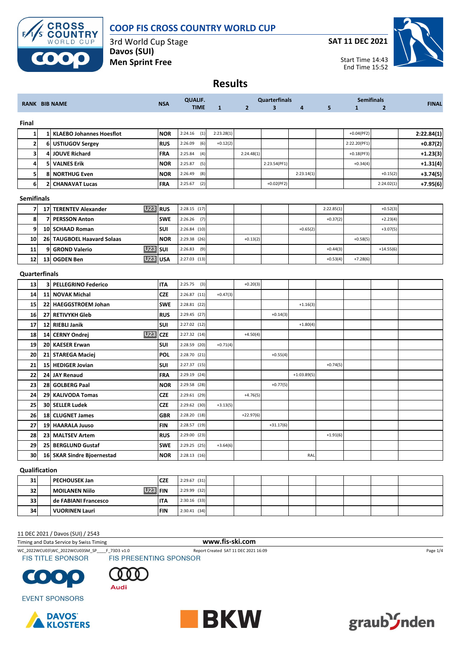

#### **COOP FIS CROSS COUNTRY WORLD CUP**

3rd World Cup Stage **Davos (SUI) Men Sprint Free**

**SAT 11 DEC 2021**



Start Time 14:43 End Time 15:52

# **Results**

| <b>RANK BIB NAME</b> |              |                                      | <b>NSA</b> | <b>QUALIF.</b> |              |                | <b>Quarterfinals</b>    |               |            | <b>Semifinals</b> |                | <b>FINAL</b> |
|----------------------|--------------|--------------------------------------|------------|----------------|--------------|----------------|-------------------------|---------------|------------|-------------------|----------------|--------------|
|                      |              |                                      |            | <b>TIME</b>    | $\mathbf{1}$ | $\overline{2}$ | $\overline{\mathbf{3}}$ | 4             | 5          | $\mathbf{1}$      | $\overline{2}$ |              |
| Final                |              |                                      |            |                |              |                |                         |               |            |                   |                |              |
| $\mathbf{1}$         |              | 1 KLAEBO Johannes Hoesflot           | <b>NOR</b> | 2:24.16<br>(1) | 2:23.28(1)   |                |                         |               |            | $+0.04(PF2)$      |                | 2:22.84(1)   |
| $\mathbf{2}$         | 6            | <b>USTIUGOV Sergey</b>               | <b>RUS</b> | 2:26.09<br>(6) | $+0.12(2)$   |                |                         |               |            | 2:22.20(PF1)      |                | $+0.87(2)$   |
| 3                    | 4            | <b>JOUVE Richard</b>                 | <b>FRA</b> | 2:25.84<br>(4) |              | 2:24.48(1)     |                         |               |            | $+0.18(PF3)$      |                | $+1.23(3)$   |
| $\overline{a}$       | 5            | <b>VALNES Erik</b>                   | <b>NOR</b> | 2:25.87<br>(5) |              |                | 2:23.54(PF1)            |               |            | $+0.34(4)$        |                | $+1.31(4)$   |
| 5                    | 8            | <b>NORTHUG Even</b>                  | <b>NOR</b> | 2:26.49<br>(8) |              |                |                         | 2:23.14(1)    |            |                   | $+0.15(2)$     | $+3.74(5)$   |
| 6                    | $\mathbf{z}$ | <b>CHANAVAT Lucas</b>                | FRA        | 2:25.67<br>(2) |              |                | $+0.02(PF2)$            |               |            |                   | 2:24.02(1)     | $+7.95(6)$   |
| <b>Semifinals</b>    |              |                                      |            |                |              |                |                         |               |            |                   |                |              |
| $\overline{7}$       | 17           | U23 RUS<br><b>TERENTEV Alexander</b> |            | $2:28.15$ (17) |              |                |                         |               | 2:22.85(1) |                   | $+0.52(3)$     |              |
| 8                    | 7            | <b>PERSSON Anton</b>                 | <b>SWE</b> | 2:26.26<br>(7) |              |                |                         |               | $+0.37(2)$ |                   | $+2.23(4)$     |              |
| 9                    |              | 10 SCHAAD Roman                      | SUI        | 2:26.84(10)    |              |                |                         | $+0.65(2)$    |            |                   | $+3.07(5)$     |              |
| 10                   |              | 26 TAUGBOEL Haavard Solaas           | <b>NOR</b> | 2:29.38 (26)   |              | $+0.13(2)$     |                         |               |            | $+0.58(5)$        |                |              |
| 11                   | 9            | <b>U23</b><br><b>GROND Valerio</b>   | SUI        | 2:26.83<br>(9) |              |                |                         |               | $+0.44(3)$ |                   | $+14.55(6)$    |              |
| 12                   | 13           | U <sub>23</sub><br><b>OGDEN Ben</b>  | <b>USA</b> | $2:27.03$ (13) |              |                |                         |               | $+0.53(4)$ | $+7.28(6)$        |                |              |
| Quarterfinals        |              |                                      |            |                |              |                |                         |               |            |                   |                |              |
| 13                   |              | <b>3 PELLEGRINO Federico</b>         | IΤA        | 2:25.75<br>(3) |              | $+0.20(3)$     |                         |               |            |                   |                |              |
| 14                   | 11           | <b>NOVAK Michal</b>                  | <b>CZE</b> | $2:26.87$ (11) | $+0.47(3)$   |                |                         |               |            |                   |                |              |
| 15                   |              | 22 HAEGGSTROEM Johan                 | <b>SWE</b> | 2:28.81 (22)   |              |                |                         | $+1.16(3)$    |            |                   |                |              |
| 16                   |              | 27 RETIVYKH Gleb                     | <b>RUS</b> | 2:29.45 (27)   |              |                | $+0.14(3)$              |               |            |                   |                |              |
| 17                   |              | 12 RIEBLI Janik                      | SUI        | 2:27.02 (12)   |              |                |                         | $+1.80(4)$    |            |                   |                |              |
| 18                   | 14           | <b>U23</b><br><b>CERNY Ondrei</b>    | <b>CZE</b> | 2:27.32 (14)   |              | $+4.50(4)$     |                         |               |            |                   |                |              |
| 19                   | <b>20</b>    | <b>KAESER Erwan</b>                  | SUI        | 2:28.59 (20)   | $+0.71(4)$   |                |                         |               |            |                   |                |              |
| 20                   | 21           | <b>STAREGA Maciej</b>                | <b>POL</b> | 2:28.70 (21)   |              |                | $+0.55(4)$              |               |            |                   |                |              |
| 21                   | 15           | <b>HEDIGER Jovian</b>                | SUI        | 2:27.37 (15)   |              |                |                         |               | $+0.74(5)$ |                   |                |              |
| 22                   | 24           | <b>JAY Renaud</b>                    | FRA        | 2:29.19 (24)   |              |                |                         | $+1:03.89(5)$ |            |                   |                |              |
| 23                   | 28           | <b>GOLBERG Paal</b>                  | <b>NOR</b> | 2:29.58 (28)   |              |                | $+0.77(5)$              |               |            |                   |                |              |
| 24                   | 29           | <b>KALIVODA Tomas</b>                | <b>CZE</b> | 2:29.61 (29)   |              | $+4.76(5)$     |                         |               |            |                   |                |              |
| 25                   |              | <b>30 SELLER Ludek</b>               | <b>CZE</b> | 2:29.62 (30)   | $+3.13(5)$   |                |                         |               |            |                   |                |              |
| 26                   | 18           | <b>CLUGNET James</b>                 | <b>GBR</b> | 2:28.20 (18)   |              | $+22.97(6)$    |                         |               |            |                   |                |              |
| 27                   |              | 19 HAARALA Juuso                     | <b>FIN</b> | 2:28.57 (19)   |              |                | $+31.17(6)$             |               |            |                   |                |              |
| 28                   |              | 23 MALTSEV Artem                     | <b>RUS</b> | 2:29.00 (23)   |              |                |                         |               | $+1.91(6)$ |                   |                |              |
| 29                   |              | 25 BERGLUND Gustaf                   | <b>SWE</b> | 2:29.25 (25)   | $+3.64(6)$   |                |                         |               |            |                   |                |              |
| 30                   |              | 16 SKAR Sindre Bjoernestad           | <b>NOR</b> | $2:28.13$ (16) |              |                |                         | RAL           |            |                   |                |              |
|                      |              |                                      |            |                |              |                |                         |               |            |                   |                |              |

#### **Qualification**

| 31 | l PECHOUSEK Jan        | <b>CZE</b>   | $2:29.67$ (31) |  |  |  |  |
|----|------------------------|--------------|----------------|--|--|--|--|
| 32 | l MOILANEN Niilo       | <b>3 FIN</b> | 2:29.99 (32)   |  |  |  |  |
| 33 | l de FABIANI Francesco | <b>ITA</b>   | $2:30.16$ (33) |  |  |  |  |
| 34 | VUORINEN Lauri         | <b>FIN</b>   | 2:30.41(34)    |  |  |  |  |

#### 11 DEC 2021 / Davos (SUI) / 2543

Timing and Data Service by Swiss Timing **www.fis-ski.com**

WC\_2022WCU03\WC\_2022WCU03SM\_SP\_\_\_F\_73D3 v1.0 Report Created SAT 11 DEC 2021 16:09 Page 1/4<br>
FIS TITLE SPONSOR FIS PRESENTING SPONSOR





**EVENT SPONSORS** 





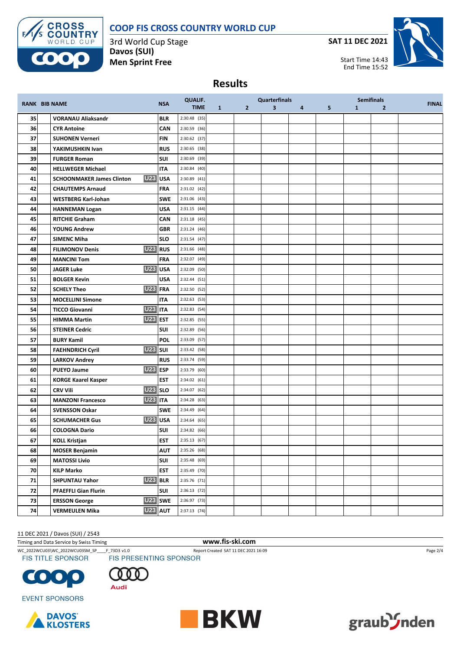# **COOP FIS CROSS COUNTRY WORLD CUP**



3rd World Cup Stage **Davos (SUI) Men Sprint Free**

**SAT 11 DEC 2021**



Start Time 14:43 End Time 15:52

## **Results**

|    |                                             |            | <b>QUALIF.</b> |              |              | <b>Quarterfinals</b>    |          |                |              | <b>Semifinals</b> |              |
|----|---------------------------------------------|------------|----------------|--------------|--------------|-------------------------|----------|----------------|--------------|-------------------|--------------|
|    | <b>RANK BIB NAME</b>                        | <b>NSA</b> | <b>TIME</b>    | $\mathbf{1}$ | $\mathbf{2}$ | $\overline{\mathbf{3}}$ | $\sim$ 4 | 5 <sub>1</sub> | $\mathbf{1}$ | $\overline{2}$    | <b>FINAL</b> |
| 35 | <b>VORANAU Aliaksandr</b>                   | <b>BLR</b> | 2:30.48 (35)   |              |              |                         |          |                |              |                   |              |
| 36 | <b>CYR Antoine</b>                          | CAN        | 2:30.59 (36)   |              |              |                         |          |                |              |                   |              |
| 37 | <b>SUHONEN Verneri</b>                      | <b>FIN</b> | 2:30.62 (37)   |              |              |                         |          |                |              |                   |              |
| 38 | YAKIMUSHKIN Ivan                            | <b>RUS</b> | 2:30.65 (38)   |              |              |                         |          |                |              |                   |              |
| 39 | <b>FURGER Roman</b>                         | SUI        | 2:30.69 (39)   |              |              |                         |          |                |              |                   |              |
| 40 | <b>HELLWEGER Michael</b>                    | <b>ITA</b> | 2:30.84(40)    |              |              |                         |          |                |              |                   |              |
| 41 | U23 USA<br><b>SCHOONMAKER James Clinton</b> |            | 2:30.89 (41)   |              |              |                         |          |                |              |                   |              |
| 42 | <b>CHAUTEMPS Arnaud</b>                     | FRA        | 2:31.02 (42)   |              |              |                         |          |                |              |                   |              |
| 43 | <b>WESTBERG Karl-Johan</b>                  | <b>SWE</b> | 2:31.06 (43)   |              |              |                         |          |                |              |                   |              |
| 44 | <b>HANNEMAN Logan</b>                       | <b>USA</b> | $2:31.15$ (44) |              |              |                         |          |                |              |                   |              |
| 45 | <b>RITCHIE Graham</b>                       | CAN        | $2:31.18$ (45) |              |              |                         |          |                |              |                   |              |
| 46 | <b>YOUNG Andrew</b>                         | <b>GBR</b> | 2:31.24 (46)   |              |              |                         |          |                |              |                   |              |
| 47 | <b>SIMENC Miha</b>                          | <b>SLO</b> | $2:31.54$ (47) |              |              |                         |          |                |              |                   |              |
| 48 | U23 RUS<br><b>FILIMONOV Denis</b>           |            | 2:31.66 (48)   |              |              |                         |          |                |              |                   |              |
| 49 | <b>MANCINI Tom</b>                          | <b>FRA</b> | 2:32.07 (49)   |              |              |                         |          |                |              |                   |              |
| 50 | <b>U23</b> USA<br><b>JAGER Luke</b>         |            | 2:32.09 (50)   |              |              |                         |          |                |              |                   |              |
| 51 | <b>BOLGER Kevin</b>                         | <b>USA</b> | $2:32.44$ (51) |              |              |                         |          |                |              |                   |              |
| 52 | U <sub>23</sub> FRA<br><b>SCHELY Theo</b>   |            | 2:32.50 (52)   |              |              |                         |          |                |              |                   |              |
| 53 | <b>MOCELLINI Simone</b>                     | <b>ITA</b> | $2:32.63$ (53) |              |              |                         |          |                |              |                   |              |
| 54 | <b>U23 ITA</b><br><b>TICCO Giovanni</b>     |            | 2:32.83 (54)   |              |              |                         |          |                |              |                   |              |
| 55 | <b>U23 EST</b><br><b>HIMMA Martin</b>       |            | 2:32.85 (55)   |              |              |                         |          |                |              |                   |              |
| 56 | <b>STEINER Cedric</b>                       | <b>SUI</b> | 2:32.89 (56)   |              |              |                         |          |                |              |                   |              |
| 57 | <b>BURY Kamil</b>                           | <b>POL</b> | 2:33.09 (57)   |              |              |                         |          |                |              |                   |              |
| 58 | <b>U23</b> SUI<br><b>FAEHNDRICH Cyril</b>   |            | 2:33.42 (58)   |              |              |                         |          |                |              |                   |              |
| 59 | <b>LARKOV Andrey</b>                        | <b>RUS</b> | 2:33.74 (59)   |              |              |                         |          |                |              |                   |              |
| 60 | <b>U23 ESP</b><br><b>PUEYO Jaume</b>        |            | 2:33.79 (60)   |              |              |                         |          |                |              |                   |              |
| 61 | <b>KORGE Kaarel Kasper</b>                  | <b>EST</b> | 2:34.02 (61)   |              |              |                         |          |                |              |                   |              |
| 62 | <b>U23</b> SLO<br><b>CRV Vili</b>           |            | 2:34.07 (62)   |              |              |                         |          |                |              |                   |              |
| 63 | <b>U23 ITA</b><br><b>MANZONI Francesco</b>  |            | 2:34.28 (63)   |              |              |                         |          |                |              |                   |              |
| 64 | <b>SVENSSON Oskar</b>                       | <b>SWE</b> | 2:34.49 (64)   |              |              |                         |          |                |              |                   |              |
| 65 | <b>U23</b> USA<br><b>SCHUMACHER Gus</b>     |            | 2:34.64(65)    |              |              |                         |          |                |              |                   |              |
| 66 | <b>COLOGNA Dario</b>                        | SUI        | 2:34.82 (66)   |              |              |                         |          |                |              |                   |              |
| 67 | <b>KOLL Kristjan</b>                        | <b>EST</b> | 2:35.13(67)    |              |              |                         |          |                |              |                   |              |
| 68 | <b>MOSER Benjamin</b>                       | <b>AUT</b> | 2:35.26 (68)   |              |              |                         |          |                |              |                   |              |
| 69 | <b>MATOSSI Livio</b>                        | <b>SUI</b> | 2:35.48 (69)   |              |              |                         |          |                |              |                   |              |
| 70 | <b>KILP Marko</b>                           | <b>EST</b> | 2:35.49 (70)   |              |              |                         |          |                |              |                   |              |
| 71 | <b>U23 BLR</b><br><b>SHPUNTAU Yahor</b>     |            | 2:35.76 (71)   |              |              |                         |          |                |              |                   |              |
| 72 | <b>PFAEFFLI Gian Flurin</b>                 | SUI        | $2:36.13$ (72) |              |              |                         |          |                |              |                   |              |
| 73 | <b>ERSSON George</b>                        | U23 SWE    | 2:36.97 (73)   |              |              |                         |          |                |              |                   |              |
| 74 | <b>U23 AUT</b><br><b>VERMEULEN Mika</b>     |            | $2:37.13$ (74) |              |              |                         |          |                |              |                   |              |

11 DEC 2021 / Davos (SUI) / 2543

Timing and Data Service by Swiss Timing **www.fis-ski.com**

WC\_2022WCU03\WC\_2022WCU03SM\_SP\_\_\_F\_73D3 v1.0 Report Created SAT 11 DEC 2021 16:09 Page 2/4 Page 2/4<br>
FIS TITLE SPONSOR FIS PRESENTING SPONSOR





**EVENT SPONSORS** 





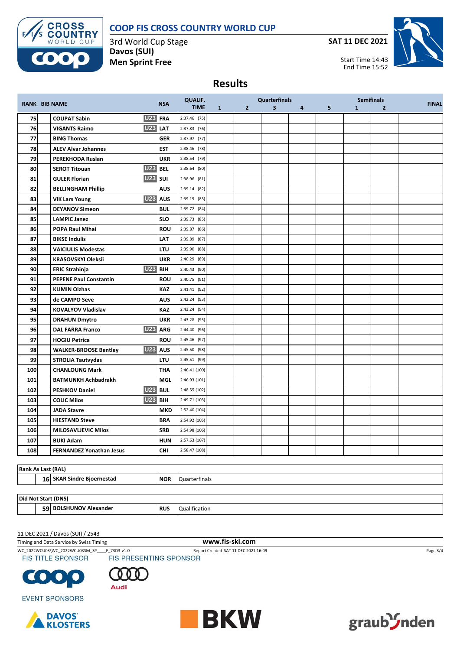## **COOP FIS CROSS COUNTRY WORLD CUP**



3rd World Cup Stage **Davos (SUI) Men Sprint Free**

**SAT 11 DEC 2021**



Start Time 14:43 End Time 15:52

#### **Results**

|     | <b>RANK BIB NAME</b>                                |            | <b>QUALIF.</b> |              | <b>Quarterfinals</b> |   |   | <b>Semifinals</b> |              |                | <b>FINAL</b> |
|-----|-----------------------------------------------------|------------|----------------|--------------|----------------------|---|---|-------------------|--------------|----------------|--------------|
|     |                                                     | <b>NSA</b> | <b>TIME</b>    | $\mathbf{1}$ | $\mathbf{2}$         | 3 | 4 | 5                 | $\mathbf{1}$ | $\overline{2}$ |              |
| 75  | U23 FRA<br><b>COUPAT Sabin</b>                      |            | 2:37.46 (75)   |              |                      |   |   |                   |              |                |              |
| 76  | <b>U23</b><br><b>VIGANTS Raimo</b>                  | <b>LAT</b> | 2:37.83 (76)   |              |                      |   |   |                   |              |                |              |
| 77  | <b>BING Thomas</b>                                  | <b>GER</b> | 2:37.97 (77)   |              |                      |   |   |                   |              |                |              |
| 78  | <b>ALEV Alvar Johannes</b>                          | <b>EST</b> | 2:38.46 (78)   |              |                      |   |   |                   |              |                |              |
| 79  | PEREKHODA Ruslan                                    | <b>UKR</b> | 2:38.54 (79)   |              |                      |   |   |                   |              |                |              |
| 80  | <b>U23 BEL</b><br><b>SEROT Titouan</b>              |            | $2:38.64$ (80) |              |                      |   |   |                   |              |                |              |
| 81  | <b>U23</b> SUI<br><b>GULER Florian</b>              |            | 2:38.96 (81)   |              |                      |   |   |                   |              |                |              |
| 82  | <b>BELLINGHAM Phillip</b>                           | <b>AUS</b> | 2:39.14 (82)   |              |                      |   |   |                   |              |                |              |
| 83  | <b>U23</b><br><b>VIK Lars Young</b>                 | <b>AUS</b> | 2:39.19 (83)   |              |                      |   |   |                   |              |                |              |
| 84  | <b>DEYANOV Simeon</b>                               | <b>BUL</b> | 2:39.72 (84)   |              |                      |   |   |                   |              |                |              |
| 85  | <b>LAMPIC Janez</b>                                 | <b>SLO</b> | 2:39.73 (85)   |              |                      |   |   |                   |              |                |              |
| 86  | <b>POPA Raul Mihai</b>                              | <b>ROU</b> | 2:39.87 (86)   |              |                      |   |   |                   |              |                |              |
| 87  | <b>BIKSE Indulis</b>                                | <b>LAT</b> | 2:39.89 (87)   |              |                      |   |   |                   |              |                |              |
| 88  | <b>VAICIULIS Modestas</b>                           | <b>LTU</b> | 2:39.90 (88)   |              |                      |   |   |                   |              |                |              |
| 89  | <b>KRASOVSKYI Oleksii</b>                           | <b>UKR</b> | 2:40.29 (89)   |              |                      |   |   |                   |              |                |              |
| 90  | <b>U23</b><br><b>ERIC Strahinja</b>                 | <b>BIH</b> | 2:40.43 (90)   |              |                      |   |   |                   |              |                |              |
| 91  | <b>PEPENE Paul Constantin</b>                       | <b>ROU</b> | 2:40.75 (91)   |              |                      |   |   |                   |              |                |              |
| 92  | <b>KLIMIN Olzhas</b>                                | <b>KAZ</b> | 2:41.41 (92)   |              |                      |   |   |                   |              |                |              |
| 93  | de CAMPO Seve                                       | <b>AUS</b> | 2:42.24 (93)   |              |                      |   |   |                   |              |                |              |
| 94  | <b>KOVALYOV Vladislav</b>                           | <b>KAZ</b> | 2:43.24 (94)   |              |                      |   |   |                   |              |                |              |
| 95  | <b>DRAHUN Dmytro</b>                                | <b>UKR</b> | 2:43.28 (95)   |              |                      |   |   |                   |              |                |              |
| 96  | U23 ARG<br><b>DAL FARRA Franco</b>                  |            | 2:44.40 (96)   |              |                      |   |   |                   |              |                |              |
| 97  | <b>HOGIU Petrica</b>                                | <b>ROU</b> | 2:45.46 (97)   |              |                      |   |   |                   |              |                |              |
| 98  | U <sub>23</sub> AUS<br><b>WALKER-BROOSE Bentley</b> |            | 2:45.50 (98)   |              |                      |   |   |                   |              |                |              |
| 99  | <b>STROLIA Tautvydas</b>                            | <b>LTU</b> | 2:45.51 (99)   |              |                      |   |   |                   |              |                |              |
| 100 | <b>CHANLOUNG Mark</b>                               | <b>THA</b> | 2:46.41(100)   |              |                      |   |   |                   |              |                |              |
| 101 | <b>BATMUNKH Achbadrakh</b>                          | <b>MGL</b> | 2:46.93 (101)  |              |                      |   |   |                   |              |                |              |
| 102 | <b>U23</b><br><b>PESHKOV Daniel</b>                 | <b>BUL</b> | 2:48.55 (102)  |              |                      |   |   |                   |              |                |              |
| 103 | <b>U23 BIH</b><br><b>COLIC Milos</b>                |            | 2:49.71 (103)  |              |                      |   |   |                   |              |                |              |
| 104 | <b>JADA Stavre</b>                                  | <b>MKD</b> | 2:52.40 (104)  |              |                      |   |   |                   |              |                |              |
| 105 | <b>HIESTAND Steve</b>                               | <b>BRA</b> | 2:54.92 (105)  |              |                      |   |   |                   |              |                |              |
| 106 | <b>MILOSAVLJEVIC Milos</b>                          | <b>SRB</b> | 2:54.98 (106)  |              |                      |   |   |                   |              |                |              |
| 107 | <b>BUKI Adam</b>                                    | <b>HUN</b> | 2:57.63 (107)  |              |                      |   |   |                   |              |                |              |
| 108 | <b>FERNANDEZ Yonathan Jesus</b>                     | <b>CHI</b> | 2:58.47 (108)  |              |                      |   |   |                   |              |                |              |

| <b>Rank As</b><br><b>S Last (RAL)</b>       |            |                      |  |  |  |  |  |  |  |
|---------------------------------------------|------------|----------------------|--|--|--|--|--|--|--|
| <b>SKAR Sindre Bioernestad</b><br><b>16</b> | <b>NOR</b> | <b>Quarterfinals</b> |  |  |  |  |  |  |  |
|                                             |            |                      |  |  |  |  |  |  |  |

**Did Not Start (DNS)**

**BOLSHUNOV Alexander RUS** Qualification

11 DEC 2021 / Davos (SUI) / 2543

Timing and Data Service by Swiss Timing **www.fis-ski.com**

WC\_2022WCU03\WC\_2022WCU03SM\_SP\_\_\_F\_73D3 v1.0 Report Created SAT 11 DEC 2021 16:09 Page 3/4 Page 3/4<br>
FIS TITLE SPONSOR FIS PRESENTING SPONSOR





**EVENT SPONSORS**